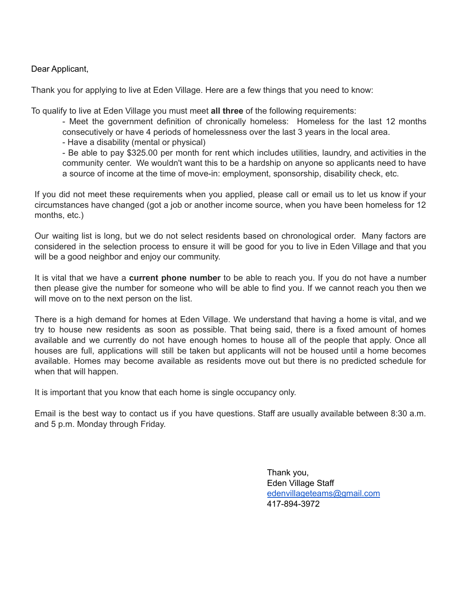#### Dear Applicant,

Thank you for applying to live at Eden Village. Here are a few things that you need to know:

To qualify to live at Eden Village you must meet **all three** of the following requirements:

- Meet the government definition of chronically homeless: Homeless for the last 12 months consecutively or have 4 periods of homelessness over the last 3 years in the local area.

- Have a disability (mental or physical)

- Be able to pay \$325.00 per month for rent which includes utilities, laundry, and activities in the community center. We wouldn't want this to be a hardship on anyone so applicants need to have a source of income at the time of move-in: employment, sponsorship, disability check, etc.

If you did not meet these requirements when you applied, please call or email us to let us know if your circumstances have changed (got a job or another income source, when you have been homeless for 12 months, etc.)

Our waiting list is long, but we do not select residents based on chronological order. Many factors are considered in the selection process to ensure it will be good for you to live in Eden Village and that you will be a good neighbor and enjoy our community.

It is vital that we have a **current phone number** to be able to reach you. If you do not have a number then please give the number for someone who will be able to find you. If we cannot reach you then we will move on to the next person on the list.

There is a high demand for homes at Eden Village. We understand that having a home is vital, and we try to house new residents as soon as possible. That being said, there is a fixed amount of homes available and we currently do not have enough homes to house all of the people that apply. Once all houses are full, applications will still be taken but applicants will not be housed until a home becomes available. Homes may become available as residents move out but there is no predicted schedule for when that will happen.

It is important that you know that each home is single occupancy only.

Email is the best way to contact us if you have questions. Staff are usually available between 8:30 a.m. and 5 p.m. Monday through Friday.

> Thank you, Eden Village Staff [edenvillageteams@gmail.com](mailto:edenvillageteams@gmail.com) 417-894-3972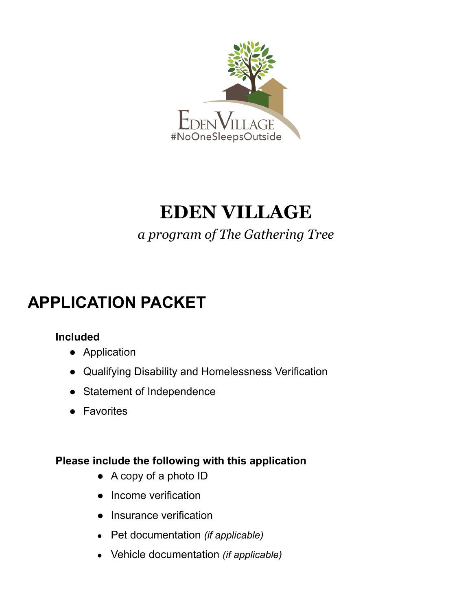

# **EDEN VILLAGE**

### *a program of The Gathering Tree*

## **APPLICATION PACKET**

### **Included**

- Application
- Qualifying Disability and Homelessness Verification
- Statement of Independence
- Favorites

### **Please include the following with this application**

- A copy of a photo ID
- Income verification
- Insurance verification
- Pet documentation *(if applicable)*
- Vehicle documentation *(if applicable)*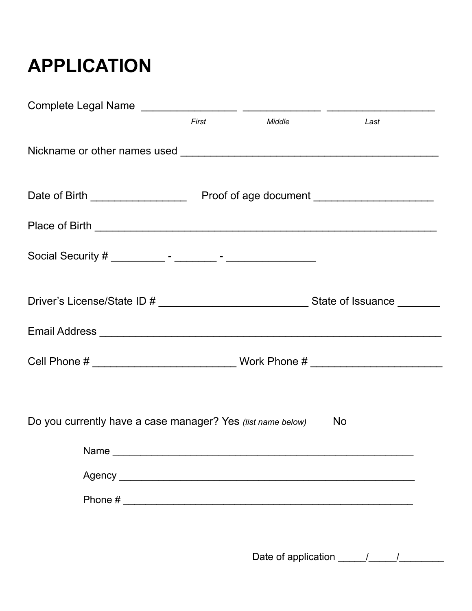# **APPLICATION**

|                                                             | First | <b>Middle</b> | Last |
|-------------------------------------------------------------|-------|---------------|------|
|                                                             |       |               |      |
|                                                             |       |               |      |
|                                                             |       |               |      |
|                                                             |       |               |      |
|                                                             |       |               |      |
|                                                             |       |               |      |
|                                                             |       |               |      |
| Do you currently have a case manager? Yes (list name below) |       |               | i No |
| Name                                                        |       |               |      |
|                                                             |       |               |      |
|                                                             |       |               |      |
|                                                             |       |               |      |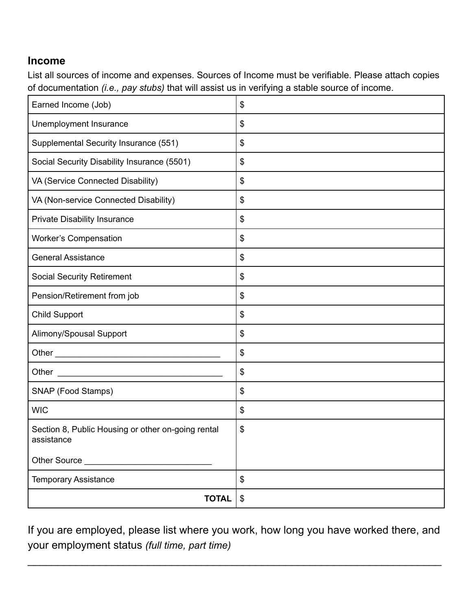### **Income**

List all sources of income and expenses. Sources of Income must be verifiable. Please attach copies of documentation *(i.e., pay stubs)* that will assist us in verifying a stable source of income.

| Earned Income (Job)                                                                                                                                                                                                                           | \$                                        |
|-----------------------------------------------------------------------------------------------------------------------------------------------------------------------------------------------------------------------------------------------|-------------------------------------------|
| Unemployment Insurance                                                                                                                                                                                                                        | \$                                        |
| Supplemental Security Insurance (551)                                                                                                                                                                                                         | \$                                        |
| Social Security Disability Insurance (5501)                                                                                                                                                                                                   | $\frac{1}{2}$                             |
| VA (Service Connected Disability)                                                                                                                                                                                                             | \$                                        |
| VA (Non-service Connected Disability)                                                                                                                                                                                                         | \$                                        |
| Private Disability Insurance                                                                                                                                                                                                                  | \$                                        |
| <b>Worker's Compensation</b>                                                                                                                                                                                                                  | \$                                        |
| <b>General Assistance</b>                                                                                                                                                                                                                     | \$                                        |
| <b>Social Security Retirement</b>                                                                                                                                                                                                             | \$                                        |
| Pension/Retirement from job                                                                                                                                                                                                                   | \$                                        |
| <b>Child Support</b>                                                                                                                                                                                                                          | $\frac{1}{2}$                             |
| Alimony/Spousal Support                                                                                                                                                                                                                       | \$                                        |
|                                                                                                                                                                                                                                               | \$                                        |
| Other<br><u> 1989 - Johann John Hermer, mars eta erroman eta erroman erroman erroman erroman erroman erroman erroman erroman erroman erroman erroman erroman erroman erroman erroman erroman erroman erroman erroman erroman erroman erro</u> | $\, \, \raisebox{12pt}{$\scriptstyle \$}$ |
| SNAP (Food Stamps)                                                                                                                                                                                                                            | \$                                        |
| <b>WIC</b>                                                                                                                                                                                                                                    | \$                                        |
| Section 8, Public Housing or other on-going rental<br>assistance                                                                                                                                                                              | \$                                        |
| Other Source                                                                                                                                                                                                                                  |                                           |
| <b>Temporary Assistance</b>                                                                                                                                                                                                                   | \$                                        |
| <b>TOTAL</b>                                                                                                                                                                                                                                  | \$                                        |

If you are employed, please list where you work, how long you have worked there, and your employment status *(full time, part time)*

 $\mathcal{L}_\text{max}$  , and the contract of the contract of the contract of the contract of the contract of the contract of the contract of the contract of the contract of the contract of the contract of the contract of the contr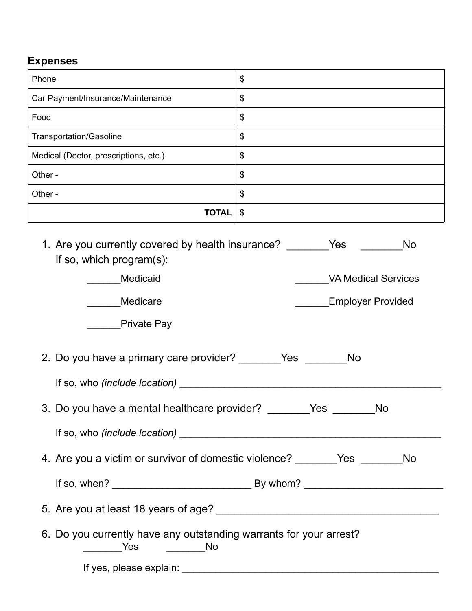### **Expenses**

| Phone                                                                                                                                                 | \$                                                                         |  |
|-------------------------------------------------------------------------------------------------------------------------------------------------------|----------------------------------------------------------------------------|--|
| Car Payment/Insurance/Maintenance                                                                                                                     | \$                                                                         |  |
| Food                                                                                                                                                  | \$                                                                         |  |
| Transportation/Gasoline                                                                                                                               | \$                                                                         |  |
| Medical (Doctor, prescriptions, etc.)                                                                                                                 | \$                                                                         |  |
| Other -                                                                                                                                               | \$                                                                         |  |
| Other -                                                                                                                                               | \$                                                                         |  |
| <b>TOTAL</b>                                                                                                                                          | $\mathbb{S}$                                                               |  |
| 1. Are you currently covered by health insurance?<br>If so, which program(s):<br>Medicaid<br>Medicare<br><b>Private Pay</b>                           | Yes<br><b>No</b><br><b>VA Medical Services</b><br><b>Employer Provided</b> |  |
| 2. Do you have a primary care provider? _________ Yes _______<br><b>No</b><br>3. Do you have a mental healthcare provider?<br><b>Yes</b><br><b>No</b> |                                                                            |  |
| 4. Are you a victim or survivor of domestic violence? _______Yes _______No                                                                            |                                                                            |  |
| 6. Do you currently have any outstanding warrants for your arrest?<br>_____________Yes ______________No                                               |                                                                            |  |

If yes, please explain: \_\_\_\_\_\_\_\_\_\_\_\_\_\_\_\_\_\_\_\_\_\_\_\_\_\_\_\_\_\_\_\_\_\_\_\_\_\_\_\_\_\_\_\_\_\_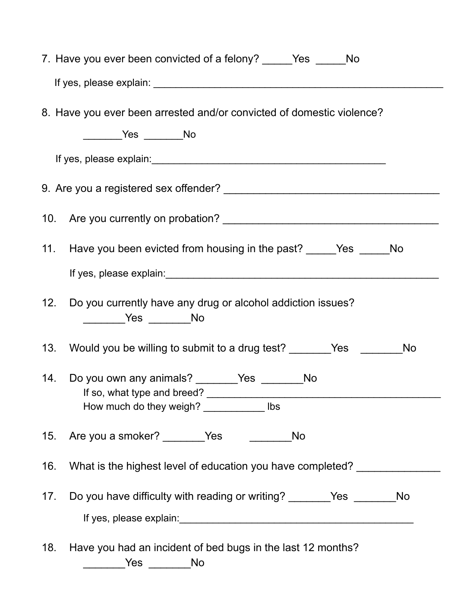|     | 7. Have you ever been convicted of a felony? _______ Yes _______ No                                                                                                                                                           |
|-----|-------------------------------------------------------------------------------------------------------------------------------------------------------------------------------------------------------------------------------|
|     |                                                                                                                                                                                                                               |
|     | 8. Have you ever been arrested and/or convicted of domestic violence?<br>________Yes _______No                                                                                                                                |
|     |                                                                                                                                                                                                                               |
|     |                                                                                                                                                                                                                               |
|     | 11. Have you been evicted from housing in the past? ________ Yes ________ No                                                                                                                                                  |
|     | If yes, please explain: Manual Account of the set of the set of the set of the set of the set of the set of the set of the set of the set of the set of the set of the set of the set of the set of the set of the set of the |
| 12. | Do you currently have any drug or alcohol addiction issues?<br>_________Yes ________No                                                                                                                                        |
|     |                                                                                                                                                                                                                               |
|     | 14. Do you own any animals? ________Yes ________No<br>If so, what type and breed?<br>How much do they weigh? ______________ lbs                                                                                               |
|     | 15. Are you a smoker? Yes<br><b>No</b>                                                                                                                                                                                        |
| 16. | What is the highest level of education you have completed?                                                                                                                                                                    |
| 17. | Do you have difficulty with reading or writing? _______Yes ________No                                                                                                                                                         |
| 18. | Have you had an incident of bed bugs in the last 12 months?<br>__________Yes _________No                                                                                                                                      |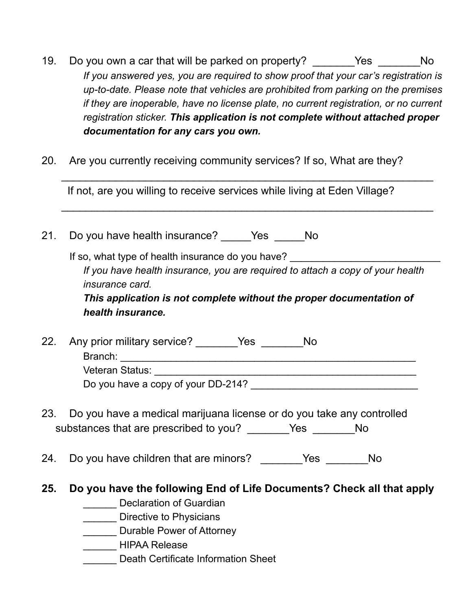- 19. Do you own a car that will be parked on property? \_\_\_\_\_\_Yes \_\_\_\_\_\_No *If you answered yes, you are required to show proof that your car's registration is up-to-date. Please note that vehicles are prohibited from parking on the premises if they are inoperable, have no license plate, no current registration, or no current registration sticker. This application is not complete without attached proper documentation for any cars you own.*
- 20. Are you currently receiving community services? If so, What are they?

If not, are you willing to receive services while living at Eden Village?

 $\overline{\phantom{a}}$  , and the contribution of the contribution of the contribution of the contribution of the contribution of the contribution of the contribution of the contribution of the contribution of the contribution of the

 $\overline{\phantom{a}}$  , and the contribution of the contribution of the contribution of the contribution of the contribution of the contribution of the contribution of the contribution of the contribution of the contribution of the

21. Do you have health insurance? Yes No

If so, what type of health insurance do you have? *If you have health insurance, you are required to attach a copy of your health insurance card. This application is not complete without the proper documentation of*

*health insurance.*

22. Any prior military service? \_\_\_\_\_\_Yes \_\_\_\_\_\_No Branch: \_\_\_\_\_\_\_\_\_\_\_\_\_\_\_\_\_\_\_\_\_\_\_\_\_\_\_\_\_\_\_\_\_\_\_\_\_\_\_\_\_\_\_\_\_\_\_\_\_\_\_\_\_ Veteran Status:

Do you have a copy of your DD-214?

- 23. Do you have a medical marijuana license or do you take any controlled substances that are prescribed to you? \_\_\_\_\_\_Yes \_\_\_\_\_\_No
- 24. Do you have children that are minors? The Yes The No
- **25. Do you have the following End of Life Documents? Check all that apply**
	- Declaration of Guardian
	- **Warehelm** Directive to Physicians
	- **\_\_\_\_\_\_\_** Durable Power of Attorney
	- \_\_\_\_\_\_ HIPAA Release
	- \_\_\_\_\_\_ Death Certificate Information Sheet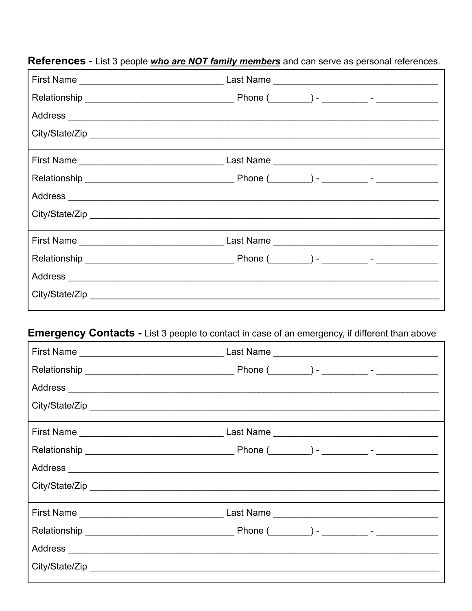| City/State/Zip |  |
|----------------|--|
|                |  |
|                |  |
|                |  |
|                |  |
|                |  |
|                |  |
|                |  |
|                |  |
|                |  |

### References - List 3 people *who are NOT family members* and can serve as personal references.

#### Emergency Contacts - List 3 people to contact in case of an emergency, if different than above Е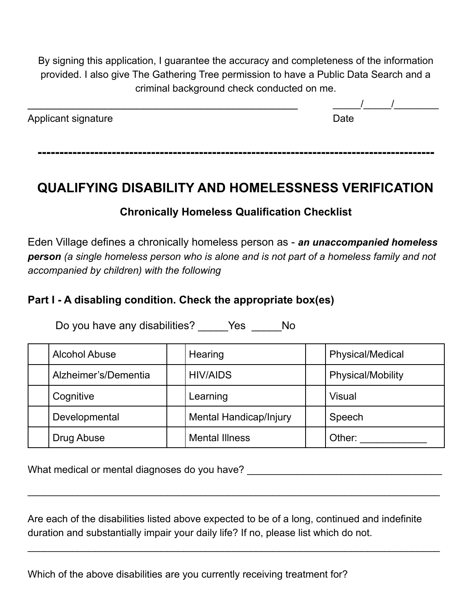By signing this application, I guarantee the accuracy and completeness of the information provided. I also give The Gathering Tree permission to have a Public Data Search and a criminal background check conducted on me.

| Applicant signature | Date |
|---------------------|------|
|                     |      |

**-------------------------------------------------------------------------------------------**

### **QUALIFYING DISABILITY AND HOMELESSNESS VERIFICATION**

### **Chronically Homeless Qualification Checklist**

Eden Village defines a chronically homeless person as - *an unaccompanied homeless person (a single homeless person who is alone and is not part of a homeless family and not accompanied by children) with the following*

#### **Part I - A disabling condition. Check the appropriate box(es)**

Do you have any disabilities? Yes No

| <b>Alcohol Abuse</b> | Hearing                       | <b>Physical/Medical</b> |
|----------------------|-------------------------------|-------------------------|
| Alzheimer's/Dementia | <b>HIV/AIDS</b>               | Physical/Mobility       |
| Cognitive            | Learning                      | <b>Visual</b>           |
| Developmental        | <b>Mental Handicap/Injury</b> | Speech                  |
| Drug Abuse           | <b>Mental Illness</b>         | Other:                  |

What medical or mental diagnoses do you have? \_\_\_\_\_\_\_\_\_\_\_\_\_\_\_\_\_\_\_\_\_\_\_\_\_\_\_\_\_\_\_\_\_\_

Are each of the disabilities listed above expected to be of a long, continued and indefinite duration and substantially impair your daily life? If no, please list which do not.

 $\overline{\phantom{a}}$  , and the contribution of the contribution of the contribution of the contribution of the contribution of the contribution of the contribution of the contribution of the contribution of the contribution of the

 $\overline{\phantom{a}}$  , and the contribution of the contribution of the contribution of the contribution of the contribution of the contribution of the contribution of the contribution of the contribution of the contribution of the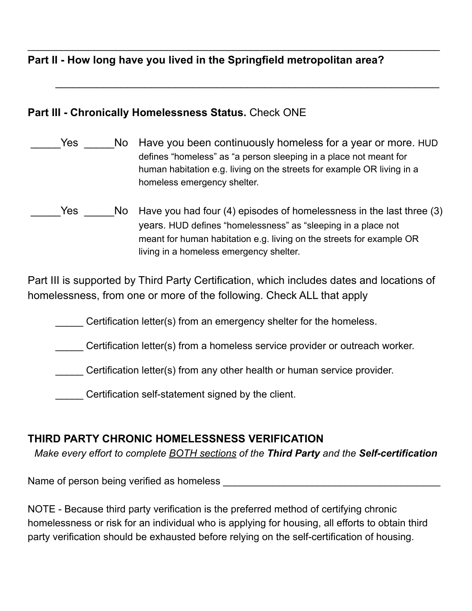**Part II - How long have you lived in the Springfield metropolitan area?**

#### **Part III - Chronically Homelessness Status.** Check ONE

Yes Mo Have you been continuously homeless for a year or more. HUD defines "homeless" as "a person sleeping in a place not meant for human habitation e.g. living on the streets for example OR living in a homeless emergency shelter.

 $\overline{\phantom{a}}$  , and the contribution of the contribution of the contribution of the contribution of the contribution of the contribution of the contribution of the contribution of the contribution of the contribution of the

 $\mathcal{L}_\text{max}$  , and the contract of the contract of the contract of the contract of the contract of the contract of the contract of the contract of the contract of the contract of the contract of the contract of the contr

Yes No Have you had four (4) episodes of homelessness in the last three (3) years. HUD defines "homelessness" as "sleeping in a place not meant for human habitation e.g. living on the streets for example OR living in a homeless emergency shelter.

Part III is supported by Third Party Certification, which includes dates and locations of homelessness, from one or more of the following. Check ALL that apply

**EXECUTE:** Certification letter(s) from an emergency shelter for the homeless.

\_\_\_\_\_ Certification letter(s) from a homeless service provider or outreach worker.

\_\_\_\_\_ Certification letter(s) from any other health or human service provider.

\_\_\_\_\_ Certification self-statement signed by the client.

### **THIRD PARTY CHRONIC HOMELESSNESS VERIFICATION**

*Make every effort to complete BOTH sections of the Third Party and the Self-certification*

Name of person being verified as homeless \_\_\_\_\_\_\_\_\_\_\_\_\_\_\_\_\_\_\_\_\_\_\_\_\_\_\_\_\_\_\_\_\_\_\_\_\_\_\_

NOTE - Because third party verification is the preferred method of certifying chronic homelessness or risk for an individual who is applying for housing, all efforts to obtain third party verification should be exhausted before relying on the self-certification of housing.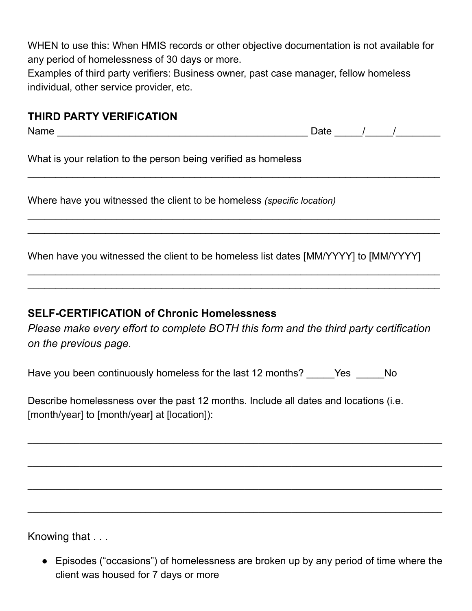WHEN to use this: When HMIS records or other objective documentation is not available for any period of homelessness of 30 days or more.

Examples of third party verifiers: Business owner, past case manager, fellow homeless individual, other service provider, etc.

### **THIRD PARTY VERIFICATION**

Name \_\_\_\_\_\_\_\_\_\_\_\_\_\_\_\_\_\_\_\_\_\_\_\_\_\_\_\_\_\_\_\_\_\_\_\_\_\_\_\_\_\_\_\_\_ Date \_\_\_\_\_/\_\_\_\_\_/\_\_\_\_\_\_\_\_

What is your relation to the person being verified as homeless

Where have you witnessed the client to be homeless *(specific location)*

When have you witnessed the client to be homeless list dates [MM/YYYY] to [MM/YYYY]

 $\overline{\phantom{a}}$  , and the contribution of the contribution of the contribution of the contribution of the contribution of the contribution of the contribution of the contribution of the contribution of the contribution of the

 $\overline{\phantom{a}}$  , and the contribution of the contribution of the contribution of the contribution of the contribution of the contribution of the contribution of the contribution of the contribution of the contribution of the  $\overline{\phantom{a}}$  , and the contribution of the contribution of the contribution of the contribution of the contribution of the contribution of the contribution of the contribution of the contribution of the contribution of the

 $\overline{\phantom{a}}$  , and the contribution of the contribution of the contribution of the contribution of the contribution of the contribution of the contribution of the contribution of the contribution of the contribution of the  $\overline{\phantom{a}}$  , and the contribution of the contribution of the contribution of the contribution of the contribution of the contribution of the contribution of the contribution of the contribution of the contribution of the

#### **SELF-CERTIFICATION of Chronic Homelessness**

*Please make every effort to complete BOTH this form and the third party certification on the previous page.*

\_\_\_\_\_\_\_\_\_\_\_\_\_\_\_\_\_\_\_\_\_\_\_\_\_\_\_\_\_\_\_\_\_\_\_\_\_\_\_\_\_\_\_\_\_\_\_\_\_\_\_\_\_\_\_\_\_\_\_\_\_\_\_\_\_\_\_\_\_\_\_\_\_\_\_\_\_\_\_\_\_\_\_\_\_\_\_\_

\_\_\_\_\_\_\_\_\_\_\_\_\_\_\_\_\_\_\_\_\_\_\_\_\_\_\_\_\_\_\_\_\_\_\_\_\_\_\_\_\_\_\_\_\_\_\_\_\_\_\_\_\_\_\_\_\_\_\_\_\_\_\_\_\_\_\_\_\_\_\_\_\_\_\_\_\_\_\_\_\_\_\_\_\_\_\_\_

\_\_\_\_\_\_\_\_\_\_\_\_\_\_\_\_\_\_\_\_\_\_\_\_\_\_\_\_\_\_\_\_\_\_\_\_\_\_\_\_\_\_\_\_\_\_\_\_\_\_\_\_\_\_\_\_\_\_\_\_\_\_\_\_\_\_\_\_\_\_\_\_\_\_\_\_\_\_\_\_\_\_\_\_\_\_\_\_

\_\_\_\_\_\_\_\_\_\_\_\_\_\_\_\_\_\_\_\_\_\_\_\_\_\_\_\_\_\_\_\_\_\_\_\_\_\_\_\_\_\_\_\_\_\_\_\_\_\_\_\_\_\_\_\_\_\_\_\_\_\_\_\_\_\_\_\_\_\_\_\_\_\_\_\_\_\_\_\_\_\_\_\_\_\_\_\_

Have you been continuously homeless for the last 12 months? \_\_\_\_\_Yes \_\_\_\_\_No

Describe homelessness over the past 12 months. Include all dates and locations (i.e. [month/year] to [month/year] at [location]):

Knowing that . . .

● Episodes ("occasions") of homelessness are broken up by any period of time where the client was housed for 7 days or more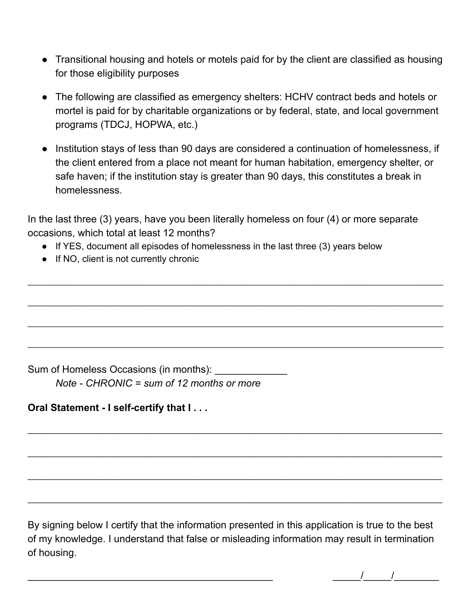- Transitional housing and hotels or motels paid for by the client are classified as housing for those eligibility purposes
- The following are classified as emergency shelters: HCHV contract beds and hotels or mortel is paid for by charitable organizations or by federal, state, and local government programs (TDCJ, HOPWA, etc.)
- Institution stays of less than 90 days are considered a continuation of homelessness, if the client entered from a place not meant for human habitation, emergency shelter, or safe haven; if the institution stay is greater than 90 days, this constitutes a break in homelessness.

In the last three (3) years, have you been literally homeless on four (4) or more separate occasions, which total at least 12 months?

 $\_$  ,  $\_$  ,  $\_$  ,  $\_$  ,  $\_$  ,  $\_$  ,  $\_$  ,  $\_$  ,  $\_$  ,  $\_$  ,  $\_$  ,  $\_$  ,  $\_$  ,  $\_$  ,  $\_$  ,  $\_$  ,  $\_$  ,  $\_$  ,  $\_$  ,  $\_$  ,  $\_$  ,  $\_$  ,  $\_$  ,  $\_$  ,  $\_$  ,  $\_$  ,  $\_$  ,  $\_$  ,  $\_$  ,  $\_$  ,  $\_$  ,  $\_$  ,  $\_$  ,  $\_$  ,  $\_$  ,  $\_$  ,  $\_$  ,

 $\_$  ,  $\_$  ,  $\_$  ,  $\_$  ,  $\_$  ,  $\_$  ,  $\_$  ,  $\_$  ,  $\_$  ,  $\_$  ,  $\_$  ,  $\_$  ,  $\_$  ,  $\_$  ,  $\_$  ,  $\_$  ,  $\_$  ,  $\_$  ,  $\_$  ,  $\_$  ,  $\_$  ,  $\_$  ,  $\_$  ,  $\_$  ,  $\_$  ,  $\_$  ,  $\_$  ,  $\_$  ,  $\_$  ,  $\_$  ,  $\_$  ,  $\_$  ,  $\_$  ,  $\_$  ,  $\_$  ,  $\_$  ,  $\_$  ,

 $\_$  ,  $\_$  ,  $\_$  ,  $\_$  ,  $\_$  ,  $\_$  ,  $\_$  ,  $\_$  ,  $\_$  ,  $\_$  ,  $\_$  ,  $\_$  ,  $\_$  ,  $\_$  ,  $\_$  ,  $\_$  ,  $\_$  ,  $\_$  ,  $\_$  ,  $\_$  ,  $\_$  ,  $\_$  ,  $\_$  ,  $\_$  ,  $\_$  ,  $\_$  ,  $\_$  ,  $\_$  ,  $\_$  ,  $\_$  ,  $\_$  ,  $\_$  ,  $\_$  ,  $\_$  ,  $\_$  ,  $\_$  ,  $\_$  ,

 $\_$  ,  $\_$  ,  $\_$  ,  $\_$  ,  $\_$  ,  $\_$  ,  $\_$  ,  $\_$  ,  $\_$  ,  $\_$  ,  $\_$  ,  $\_$  ,  $\_$  ,  $\_$  ,  $\_$  ,  $\_$  ,  $\_$  ,  $\_$  ,  $\_$  ,  $\_$  ,  $\_$  ,  $\_$  ,  $\_$  ,  $\_$  ,  $\_$  ,  $\_$  ,  $\_$  ,  $\_$  ,  $\_$  ,  $\_$  ,  $\_$  ,  $\_$  ,  $\_$  ,  $\_$  ,  $\_$  ,  $\_$  ,  $\_$  ,

\_\_\_\_\_\_\_\_\_\_\_\_\_\_\_\_\_\_\_\_\_\_\_\_\_\_\_\_\_\_\_\_\_\_\_\_\_\_\_\_\_\_\_\_\_\_\_\_\_\_\_\_\_\_\_\_\_\_\_\_\_\_\_\_\_\_\_\_\_\_\_\_\_\_\_\_\_\_\_\_\_\_\_\_\_\_\_\_

\_\_\_\_\_\_\_\_\_\_\_\_\_\_\_\_\_\_\_\_\_\_\_\_\_\_\_\_\_\_\_\_\_\_\_\_\_\_\_\_\_\_\_\_\_\_\_\_\_\_\_\_\_\_\_\_\_\_\_\_\_\_\_\_\_\_\_\_\_\_\_\_\_\_\_\_\_\_\_\_\_\_\_\_\_\_\_\_

\_\_\_\_\_\_\_\_\_\_\_\_\_\_\_\_\_\_\_\_\_\_\_\_\_\_\_\_\_\_\_\_\_\_\_\_\_\_\_\_\_\_\_\_\_\_\_\_\_\_\_\_\_\_\_\_\_\_\_\_\_\_\_\_\_\_\_\_\_\_\_\_\_\_\_\_\_\_\_\_\_\_\_\_\_\_\_\_

\_\_\_\_\_\_\_\_\_\_\_\_\_\_\_\_\_\_\_\_\_\_\_\_\_\_\_\_\_\_\_\_\_\_\_\_\_\_\_\_\_\_\_\_\_\_\_\_\_\_\_\_\_\_\_\_\_\_\_\_\_\_\_\_\_\_\_\_\_\_\_\_\_\_\_\_\_\_\_\_\_\_\_\_\_\_\_\_

- If YES, document all episodes of homelessness in the last three (3) years below
- If NO, client is not currently chronic

Sum of Homeless Occasions (in months): *Note - CHRONIC = sum of 12 months or more*

**Oral Statement - I self-certify that I . . .**

By signing below I certify that the information presented in this application is true to the best of my knowledge. I understand that false or misleading information may result in termination of housing.

 $\frac{1}{2}$   $\frac{1}{2}$   $\frac{1}{2}$   $\frac{1}{2}$   $\frac{1}{2}$   $\frac{1}{2}$   $\frac{1}{2}$   $\frac{1}{2}$   $\frac{1}{2}$   $\frac{1}{2}$   $\frac{1}{2}$   $\frac{1}{2}$   $\frac{1}{2}$   $\frac{1}{2}$   $\frac{1}{2}$   $\frac{1}{2}$   $\frac{1}{2}$   $\frac{1}{2}$   $\frac{1}{2}$   $\frac{1}{2}$   $\frac{1}{2}$   $\frac{1}{2}$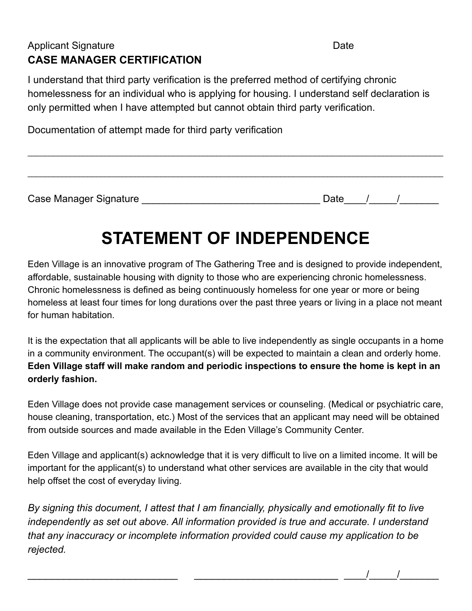### Applicant Signature Date Date **CASE MANAGER CERTIFICATION**

I understand that third party verification is the preferred method of certifying chronic homelessness for an individual who is applying for housing. I understand self declaration is only permitted when I have attempted but cannot obtain third party verification.

Documentation of attempt made for third party verification

Case Manager Signature \_\_\_\_\_\_\_\_\_\_\_\_\_\_\_\_\_\_\_\_\_\_\_\_\_\_\_\_\_\_\_\_ Date\_\_\_\_/\_\_\_\_\_/\_\_\_\_\_\_\_

\_\_\_\_\_\_\_\_\_\_\_\_\_\_\_\_\_\_\_\_\_\_\_\_\_ \_\_\_\_\_\_\_\_\_\_\_\_\_\_\_\_\_\_\_\_\_\_\_\_ \_\_\_\_/\_\_\_\_\_/\_\_\_\_\_\_\_

# **STATEMENT OF INDEPENDENCE**

 $\_$  ,  $\_$  ,  $\_$  ,  $\_$  ,  $\_$  ,  $\_$  ,  $\_$  ,  $\_$  ,  $\_$  ,  $\_$  ,  $\_$  ,  $\_$  ,  $\_$  ,  $\_$  ,  $\_$  ,  $\_$  ,  $\_$  ,  $\_$  ,  $\_$  ,  $\_$  ,  $\_$  ,  $\_$  ,  $\_$  ,  $\_$  ,  $\_$  ,  $\_$  ,  $\_$  ,  $\_$  ,  $\_$  ,  $\_$  ,  $\_$  ,  $\_$  ,  $\_$  ,  $\_$  ,  $\_$  ,  $\_$  ,  $\_$  ,

 $\_$  ,  $\_$  ,  $\_$  ,  $\_$  ,  $\_$  ,  $\_$  ,  $\_$  ,  $\_$  ,  $\_$  ,  $\_$  ,  $\_$  ,  $\_$  ,  $\_$  ,  $\_$  ,  $\_$  ,  $\_$  ,  $\_$  ,  $\_$  ,  $\_$  ,  $\_$  ,  $\_$  ,  $\_$  ,  $\_$  ,  $\_$  ,  $\_$  ,  $\_$  ,  $\_$  ,  $\_$  ,  $\_$  ,  $\_$  ,  $\_$  ,  $\_$  ,  $\_$  ,  $\_$  ,  $\_$  ,  $\_$  ,  $\_$  ,

Eden Village is an innovative program of The Gathering Tree and is designed to provide independent, affordable, sustainable housing with dignity to those who are experiencing chronic homelessness. Chronic homelessness is defined as being continuously homeless for one year or more or being homeless at least four times for long durations over the past three years or living in a place not meant for human habitation.

It is the expectation that all applicants will be able to live independently as single occupants in a home in a community environment. The occupant(s) will be expected to maintain a clean and orderly home. **Eden Village staff will make random and periodic inspections to ensure the home is kept in an orderly fashion.**

Eden Village does not provide case management services or counseling. (Medical or psychiatric care, house cleaning, transportation, etc.) Most of the services that an applicant may need will be obtained from outside sources and made available in the Eden Village's Community Center.

Eden Village and applicant(s) acknowledge that it is very difficult to live on a limited income. It will be important for the applicant(s) to understand what other services are available in the city that would help offset the cost of everyday living.

*By signing this document, I attest that I am financially, physically and emotionally fit to live independently as set out above. All information provided is true and accurate. I understand that any inaccuracy or incomplete information provided could cause my application to be rejected.*